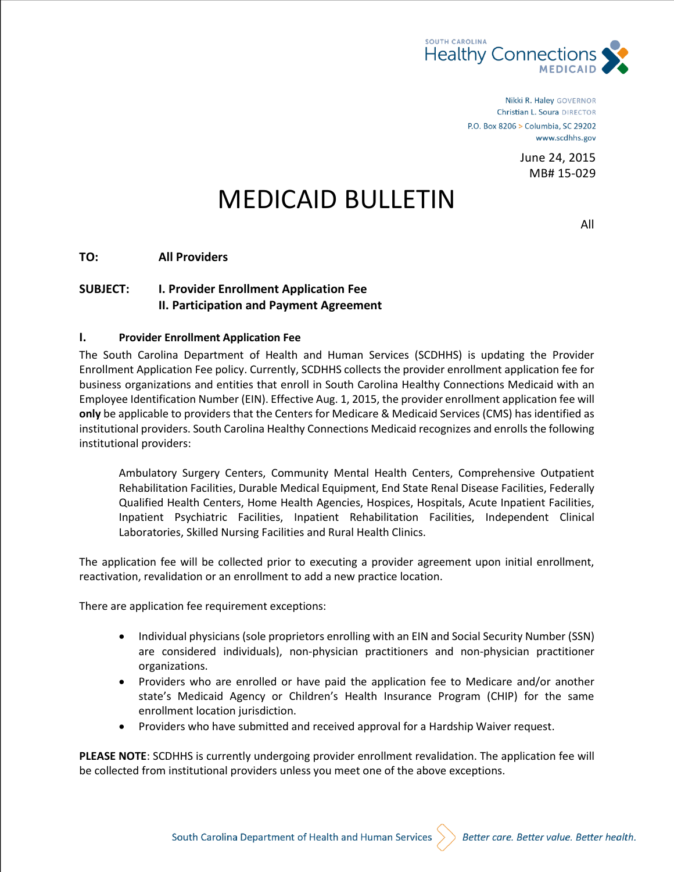

Nikki R. Haley GOVERNOR Christian L. Soura DIRECTOR P.O. Box 8206 > Columbia, SC 29202 www.scdhhs.gov

> June 24, 2015 MB# 15-029

## MEDICAID BULLETIN

All

**TO: All Providers**

## **SUBJECT: I. Provider Enrollment Application Fee II. Participation and Payment Agreement**

## **I. Provider Enrollment Application Fee**

The South Carolina Department of Health and Human Services (SCDHHS) is updating the Provider Enrollment Application Fee policy. Currently, SCDHHS collects the provider enrollment application fee for business organizations and entities that enroll in South Carolina Healthy Connections Medicaid with an Employee Identification Number (EIN). Effective Aug. 1, 2015, the provider enrollment application fee will **only** be applicable to providers that the Centers for Medicare & Medicaid Services (CMS) has identified as institutional providers. South Carolina Healthy Connections Medicaid recognizes and enrolls the following institutional providers:

Ambulatory Surgery Centers, Community Mental Health Centers, Comprehensive Outpatient Rehabilitation Facilities, Durable Medical Equipment, End State Renal Disease Facilities, Federally Qualified Health Centers, Home Health Agencies, Hospices, Hospitals, Acute Inpatient Facilities, Inpatient Psychiatric Facilities, Inpatient Rehabilitation Facilities, Independent Clinical Laboratories, Skilled Nursing Facilities and Rural Health Clinics.

The application fee will be collected prior to executing a provider agreement upon initial enrollment, reactivation, revalidation or an enrollment to add a new practice location.

There are application fee requirement exceptions:

- Individual physicians (sole proprietors enrolling with an EIN and Social Security Number (SSN) are considered individuals), non-physician practitioners and non-physician practitioner organizations.
- Providers who are enrolled or have paid the application fee to Medicare and/or another state's Medicaid Agency or Children's Health Insurance Program (CHIP) for the same enrollment location jurisdiction.
- Providers who have submitted and received approval for a Hardship Waiver request.

**PLEASE NOTE**: SCDHHS is currently undergoing provider enrollment revalidation. The application fee will be collected from institutional providers unless you meet one of the above exceptions.